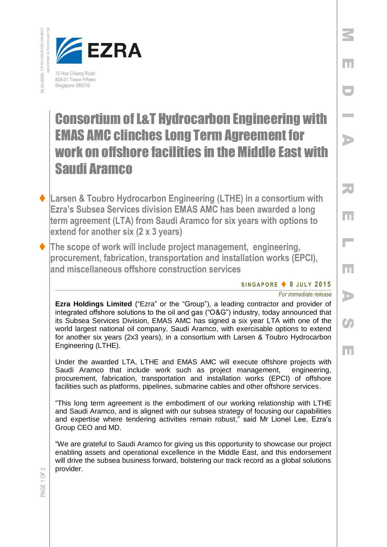COMPANY REGISTRATION INCORPORATED IN SINGRAD NO. 199901411N



## Consortium of L&T Hydrocarbon Engineering with EMAS AMC clinches Long Term Agreement for work on offshore facilities in the Middle East with Saudi Aramco

- **Larsen & Toubro Hydrocarbon Engineering (LTHE) in a consortium with Ezra's Subsea Services division EMAS AMC has been awarded a long term agreement (LTA) from Saudi Aramco for six years with options to extend for another six (2 x 3 years)**
	- **The scope of work will include project management, engineering, procurement, fabrication, transportation and installation works (EPCI), and miscellaneous offshore construction services**

**S I N G A P O R E 8 J UL Y 201 5**

*For immediate release* 

M

E

D

I

A

R

E

 $\overline{\phantom{a}}$ 

E

A

 $\bullet$ 

E

**Ezra Holdings Limited** ("Ezra" or the "Group"), a leading contractor and provider of integrated offshore solutions to the oil and gas ("O&G") industry, today announced that its Subsea Services Division, EMAS AMC has signed a six year LTA with one of the world largest national oil company, Saudi Aramco, with exercisable options to extend for another six years (2x3 years), in a consortium with Larsen & Toubro Hydrocarbon Engineering (LTHE).

Under the awarded LTA, LTHE and EMAS AMC will execute offshore projects with Saudi Aramco that include work such as project management, engineering, procurement, fabrication, transportation and installation works (EPCI) of offshore facilities such as platforms, pipelines, submarine cables and other offshore services.

"This long term agreement is the embodiment of our working relationship with LTHE and Saudi Aramco, and is aligned with our subsea strategy of focusing our capabilities and expertise where tendering activities remain robust," said Mr Lionel Lee, Ezra's Group CEO and MD.

"We are grateful to Saudi Aramco for giving us this opportunity to showcase our project enabling assets and operational excellence in the Middle East, and this endorsement will drive the subsea business forward, bolstering our track record as a global solutions provider.